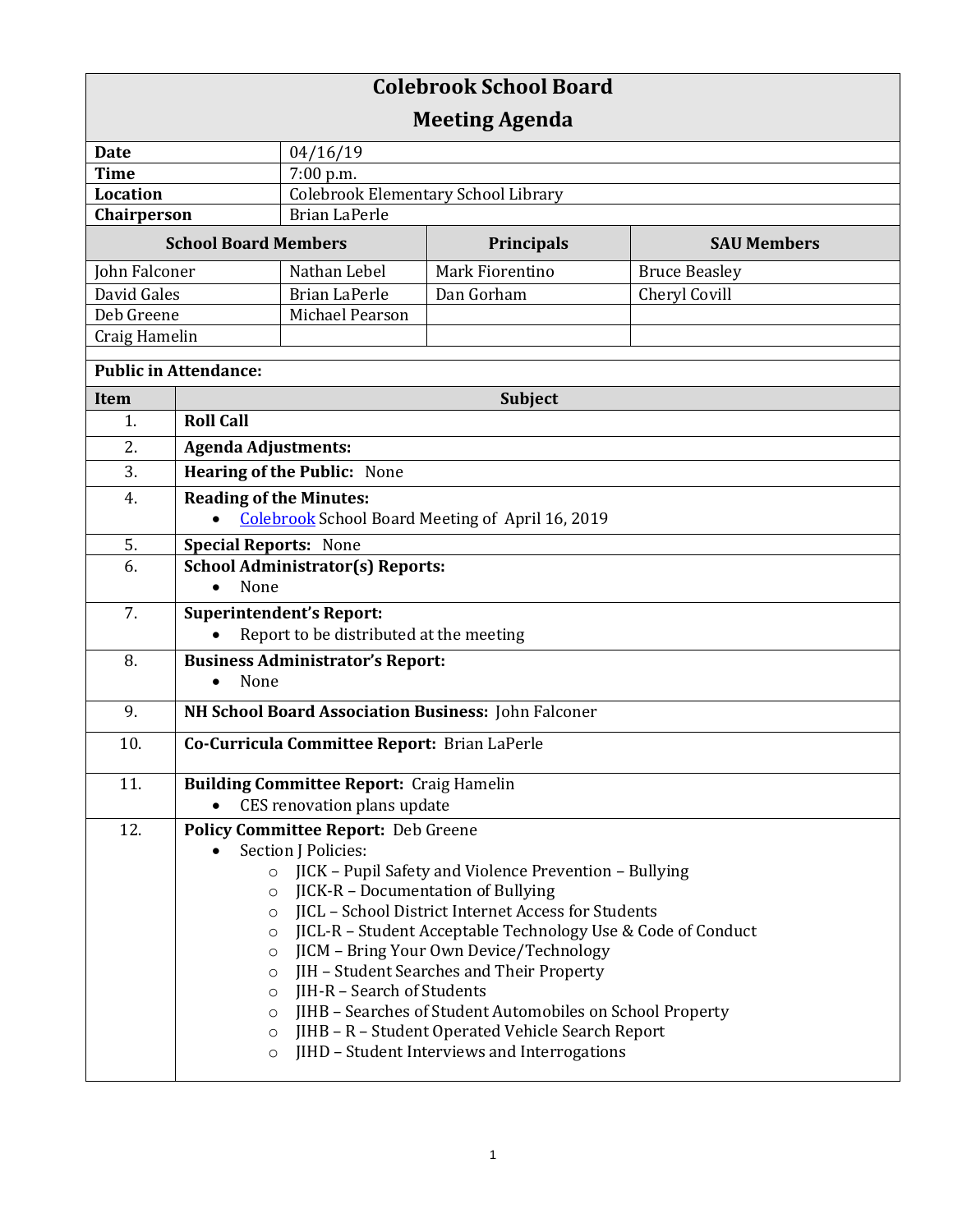| <b>Colebrook School Board</b><br><b>Meeting Agenda</b> |                                                                                                                                                                                                                                                                                                                                                                                                                                                                                                                                                                                                                                                                                |                                            |                   |                      |  |  |  |
|--------------------------------------------------------|--------------------------------------------------------------------------------------------------------------------------------------------------------------------------------------------------------------------------------------------------------------------------------------------------------------------------------------------------------------------------------------------------------------------------------------------------------------------------------------------------------------------------------------------------------------------------------------------------------------------------------------------------------------------------------|--------------------------------------------|-------------------|----------------------|--|--|--|
| <b>Date</b>                                            |                                                                                                                                                                                                                                                                                                                                                                                                                                                                                                                                                                                                                                                                                | 04/16/19                                   |                   |                      |  |  |  |
| <b>Time</b>                                            |                                                                                                                                                                                                                                                                                                                                                                                                                                                                                                                                                                                                                                                                                | $7:00$ p.m.                                |                   |                      |  |  |  |
| <b>Location</b>                                        |                                                                                                                                                                                                                                                                                                                                                                                                                                                                                                                                                                                                                                                                                | <b>Colebrook Elementary School Library</b> |                   |                      |  |  |  |
| Chairperson                                            |                                                                                                                                                                                                                                                                                                                                                                                                                                                                                                                                                                                                                                                                                | <b>Brian LaPerle</b>                       |                   |                      |  |  |  |
|                                                        | <b>School Board Members</b>                                                                                                                                                                                                                                                                                                                                                                                                                                                                                                                                                                                                                                                    |                                            | <b>Principals</b> | <b>SAU Members</b>   |  |  |  |
| <b>John Falconer</b>                                   |                                                                                                                                                                                                                                                                                                                                                                                                                                                                                                                                                                                                                                                                                | Nathan Lebel                               | Mark Fiorentino   | <b>Bruce Beasley</b> |  |  |  |
| David Gales                                            |                                                                                                                                                                                                                                                                                                                                                                                                                                                                                                                                                                                                                                                                                | <b>Brian LaPerle</b>                       | Dan Gorham        | Cheryl Covill        |  |  |  |
| Deb Greene                                             |                                                                                                                                                                                                                                                                                                                                                                                                                                                                                                                                                                                                                                                                                | Michael Pearson                            |                   |                      |  |  |  |
| Craig Hamelin                                          |                                                                                                                                                                                                                                                                                                                                                                                                                                                                                                                                                                                                                                                                                |                                            |                   |                      |  |  |  |
|                                                        | <b>Public in Attendance:</b>                                                                                                                                                                                                                                                                                                                                                                                                                                                                                                                                                                                                                                                   |                                            |                   |                      |  |  |  |
| <b>Item</b>                                            | <b>Subject</b>                                                                                                                                                                                                                                                                                                                                                                                                                                                                                                                                                                                                                                                                 |                                            |                   |                      |  |  |  |
| 1.                                                     | <b>Roll Call</b>                                                                                                                                                                                                                                                                                                                                                                                                                                                                                                                                                                                                                                                               |                                            |                   |                      |  |  |  |
| 2.                                                     | <b>Agenda Adjustments:</b>                                                                                                                                                                                                                                                                                                                                                                                                                                                                                                                                                                                                                                                     |                                            |                   |                      |  |  |  |
| 3.                                                     | <b>Hearing of the Public: None</b>                                                                                                                                                                                                                                                                                                                                                                                                                                                                                                                                                                                                                                             |                                            |                   |                      |  |  |  |
| 4.                                                     |                                                                                                                                                                                                                                                                                                                                                                                                                                                                                                                                                                                                                                                                                | <b>Reading of the Minutes:</b>             |                   |                      |  |  |  |
|                                                        | <b>Colebrook School Board Meeting of April 16, 2019</b>                                                                                                                                                                                                                                                                                                                                                                                                                                                                                                                                                                                                                        |                                            |                   |                      |  |  |  |
| 5.                                                     | <b>Special Reports: None</b>                                                                                                                                                                                                                                                                                                                                                                                                                                                                                                                                                                                                                                                   |                                            |                   |                      |  |  |  |
| 6.                                                     | <b>School Administrator(s) Reports:</b>                                                                                                                                                                                                                                                                                                                                                                                                                                                                                                                                                                                                                                        |                                            |                   |                      |  |  |  |
|                                                        | None<br>$\bullet$                                                                                                                                                                                                                                                                                                                                                                                                                                                                                                                                                                                                                                                              |                                            |                   |                      |  |  |  |
| 7.                                                     |                                                                                                                                                                                                                                                                                                                                                                                                                                                                                                                                                                                                                                                                                | Superintendent's Report:                   |                   |                      |  |  |  |
|                                                        | Report to be distributed at the meeting                                                                                                                                                                                                                                                                                                                                                                                                                                                                                                                                                                                                                                        |                                            |                   |                      |  |  |  |
| 8.                                                     | <b>Business Administrator's Report:</b><br>None<br>$\bullet$                                                                                                                                                                                                                                                                                                                                                                                                                                                                                                                                                                                                                   |                                            |                   |                      |  |  |  |
| 9.                                                     | NH School Board Association Business: John Falconer                                                                                                                                                                                                                                                                                                                                                                                                                                                                                                                                                                                                                            |                                            |                   |                      |  |  |  |
| 10.                                                    | Co-Curricula Committee Report: Brian LaPerle                                                                                                                                                                                                                                                                                                                                                                                                                                                                                                                                                                                                                                   |                                            |                   |                      |  |  |  |
| 11.                                                    | <b>Building Committee Report: Craig Hamelin</b><br>CES renovation plans update                                                                                                                                                                                                                                                                                                                                                                                                                                                                                                                                                                                                 |                                            |                   |                      |  |  |  |
| 12.                                                    | <b>Policy Committee Report: Deb Greene</b><br>Section J Policies:<br>$\bullet$<br>JICK - Pupil Safety and Violence Prevention - Bullying<br>$\circ$<br><b>JICK-R - Documentation of Bullying</b><br>O<br>JICL - School District Internet Access for Students<br>$\circ$<br>JICL-R - Student Acceptable Technology Use & Code of Conduct<br>O<br>JICM - Bring Your Own Device/Technology<br>O<br>JIH - Student Searches and Their Property<br>O<br>JIH-R - Search of Students<br>O<br>JIHB - Searches of Student Automobiles on School Property<br>$\circ$<br>JIHB - R - Student Operated Vehicle Search Report<br>O<br>JIHD - Student Interviews and Interrogations<br>$\circ$ |                                            |                   |                      |  |  |  |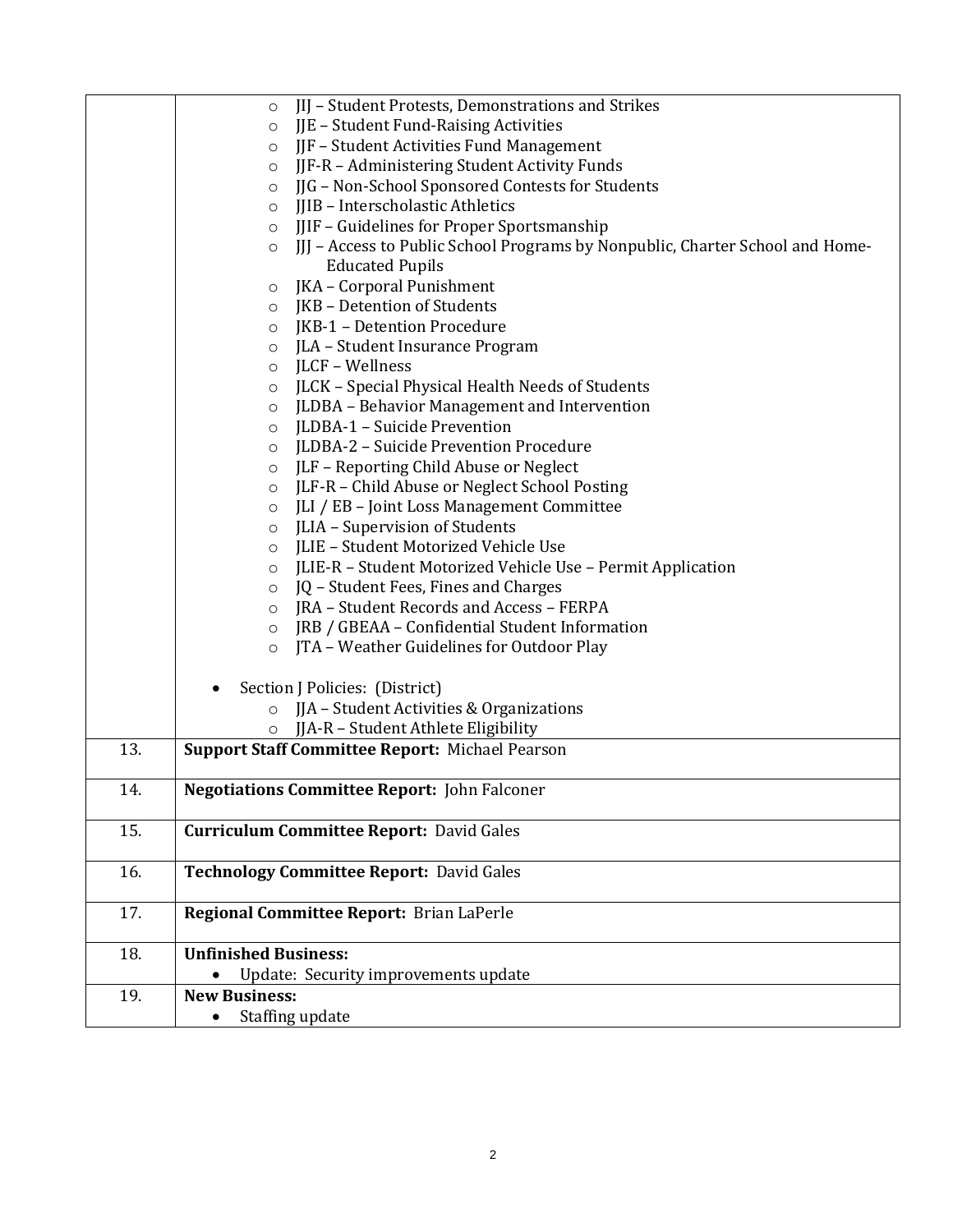|     | IIJ - Student Protests, Demonstrations and Strikes<br>$\circ$                             |  |  |
|-----|-------------------------------------------------------------------------------------------|--|--|
|     | JJE - Student Fund-Raising Activities<br>O                                                |  |  |
|     | JJF - Student Activities Fund Management<br>O                                             |  |  |
|     | JJF-R - Administering Student Activity Funds<br>O                                         |  |  |
|     | JJG - Non-School Sponsored Contests for Students<br>O                                     |  |  |
|     | JJIB - Interscholastic Athletics<br>O                                                     |  |  |
|     | JJIF - Guidelines for Proper Sportsmanship<br>$\circ$                                     |  |  |
|     | [JJ] - Access to Public School Programs by Nonpublic, Charter School and Home-<br>$\circ$ |  |  |
|     | <b>Educated Pupils</b>                                                                    |  |  |
|     | JKA - Corporal Punishment<br>O                                                            |  |  |
|     | JKB - Detention of Students<br>O                                                          |  |  |
|     | JKB-1 - Detention Procedure<br>O                                                          |  |  |
|     | JLA - Student Insurance Program<br>$\circ$                                                |  |  |
|     | JLCF - Wellness<br>$\circ$                                                                |  |  |
|     | JLCK - Special Physical Health Needs of Students<br>O                                     |  |  |
|     | JLDBA - Behavior Management and Intervention<br>$\circ$                                   |  |  |
|     | JLDBA-1 - Suicide Prevention<br>O                                                         |  |  |
|     | JLDBA-2 - Suicide Prevention Procedure<br>O                                               |  |  |
|     | JLF - Reporting Child Abuse or Neglect<br>O                                               |  |  |
|     | JLF-R - Child Abuse or Neglect School Posting<br>$\circ$                                  |  |  |
|     | JLI / EB - Joint Loss Management Committee<br>$\circ$                                     |  |  |
|     | JLIA - Supervision of Students<br>$\circ$                                                 |  |  |
|     | JLIE - Student Motorized Vehicle Use<br>O                                                 |  |  |
|     | JLIE-R - Student Motorized Vehicle Use - Permit Application<br>O                          |  |  |
|     | JQ - Student Fees, Fines and Charges<br>$\circ$                                           |  |  |
|     | JRA - Student Records and Access - FERPA<br>$\circ$                                       |  |  |
|     | JRB / GBEAA - Confidential Student Information<br>$\circ$                                 |  |  |
|     | JTA - Weather Guidelines for Outdoor Play<br>$\circ$                                      |  |  |
|     |                                                                                           |  |  |
|     | Section J Policies: (District)                                                            |  |  |
|     | JJA - Student Activities & Organizations                                                  |  |  |
|     | JJA-R - Student Athlete Eligibility<br>$\circ$                                            |  |  |
| 13. | <b>Support Staff Committee Report: Michael Pearson</b>                                    |  |  |
|     |                                                                                           |  |  |
| 14. | <b>Negotiations Committee Report:</b> John Falconer                                       |  |  |
|     |                                                                                           |  |  |
| 15. | <b>Curriculum Committee Report: David Gales</b>                                           |  |  |
|     |                                                                                           |  |  |
| 16. | <b>Technology Committee Report: David Gales</b>                                           |  |  |
|     |                                                                                           |  |  |
| 17. | Regional Committee Report: Brian LaPerle                                                  |  |  |
|     |                                                                                           |  |  |
| 18. | <b>Unfinished Business:</b>                                                               |  |  |
|     | Update: Security improvements update                                                      |  |  |
| 19. | <b>New Business:</b>                                                                      |  |  |
|     | Staffing update<br>٠                                                                      |  |  |